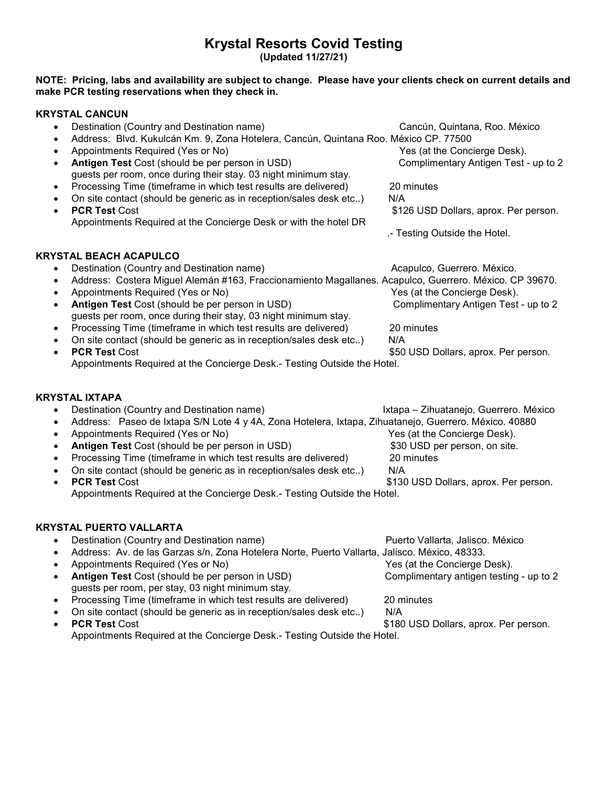## Krystal Resorts Covid Testing

(Updated 11/27/21)

#### NOTE: Pricing, labs and availability are subject to change. Please have your clients check on current details and make PCR testing reservations when they check in.

#### KRYSTAL CANCUN

| Destination (Country and Destination name)<br>$\bullet$ |                                                                                                                    | Cancún, Quintana, Roo. México          |
|---------------------------------------------------------|--------------------------------------------------------------------------------------------------------------------|----------------------------------------|
| $\bullet$                                               | Address: Blvd. Kukulcán Km. 9, Zona Hotelera, Cancún, Quintana Roo. México CP. 77500                               |                                        |
| ٠                                                       | Appointments Required (Yes or No)                                                                                  | Yes (at the Concierge Desk).           |
| $\bullet$                                               | Antigen Test Cost (should be per person in USD)<br>guests per room, once during their stay. 03 night minimum stay. | Complimentary Antigen Test - up to 2   |
| $\bullet$                                               | Processing Time (timeframe in which test results are delivered)                                                    | 20 minutes                             |
| $\bullet$                                               | On site contact (should be generic as in reception/sales desk etc)                                                 | N/A                                    |
| <b>PCR Test Cost</b><br>$\bullet$                       | Appointments Required at the Concierge Desk or with the hotel DR                                                   | \$126 USD Dollars, aprox. Per person.  |
|                                                         |                                                                                                                    | .- Testing Outside the Hotel.          |
| <b>KRYSTAL BEACH ACAPULCO</b>                           |                                                                                                                    |                                        |
|                                                         | Destination (Country and Destination name)                                                                         | Acapulco, Guerrero. México.            |
| ٠                                                       | Address: Costera Miguel Alemán #163, Fraccionamiento Magallanes. Acapulco, Guerrero. México. CP 39670.             |                                        |
|                                                         | Appointments Required (Yes or No)                                                                                  | Yes (at the Concierge Desk).           |
| $\bullet$                                               | Antigen Test Cost (should be per person in USD)<br>guests per room, once during their stay, 03 night minimum stay. | Complimentary Antigen Test - up to 2   |
| $\bullet$                                               | Processing Time (timeframe in which test results are delivered)                                                    | 20 minutes                             |
| $\bullet$                                               | On site contact (should be generic as in reception/sales desk etc)                                                 | N/A                                    |
| <b>PCR Test Cost</b><br>$\bullet$                       |                                                                                                                    | \$50 USD Dollars, aprox. Per person.   |
|                                                         | Appointments Required at the Concierge Desk.- Testing Outside the Hotel.                                           |                                        |
| KRYSTAL IXTAPA                                          |                                                                                                                    |                                        |
|                                                         | Destination (Country and Destination name)                                                                         | Ixtapa - Zihuatanejo, Guerrero. México |
|                                                         | Address: Paseo de Ixtapa S/N Lote 4 y 4A, Zona Hotelera, Ixtapa, Zihuatanejo, Guerrero. México. 40880              |                                        |

- Appointments Required (Yes or No) Yes (at the Concierge Desk).
- Antigen Test Cost (should be per person in USD) \$30 USD per person, on site.
- Processing Time (timeframe in which test results are delivered) 20 minutes
- On site contact (should be generic as in reception/sales desk etc..) N/A
- PCR Test Cost **\$130 USD Dollars, aprox. Per person.** Appointments Required at the Concierge Desk.- Testing Outside the Hotel.

# KRYSTAL PUERTO VALLARTA<br>A Destination (Country and Destination

| Destination (Country and Destination name)<br>$\bullet$                                                           | Puerto Vallarta, Jalisco. México        |
|-------------------------------------------------------------------------------------------------------------------|-----------------------------------------|
| Address: Av. de las Garzas s/n, Zona Hotelera Norte, Puerto Vallarta, Jalisco. México, 48333.                     |                                         |
| Appointments Required (Yes or No)                                                                                 | Yes (at the Concierge Desk).            |
| Antigen Test Cost (should be per person in USD)<br>$\bullet$<br>guests per room, per stay, 03 night minimum stay. | Complimentary antigen testing - up to 2 |
| Processing Time (timeframe in which test results are delivered)<br>$\bullet$                                      | 20 minutes                              |
| On site contact (should be generic as in reception/sales desk etc)<br>$\bullet$                                   | N/A                                     |
| <b>PCR Test Cost</b>                                                                                              | \$180 USD Dollars, aprox. Per person.   |
| Appointments Required at the Concierge Desk.- Testing Outside the Hotel.                                          |                                         |
|                                                                                                                   |                                         |